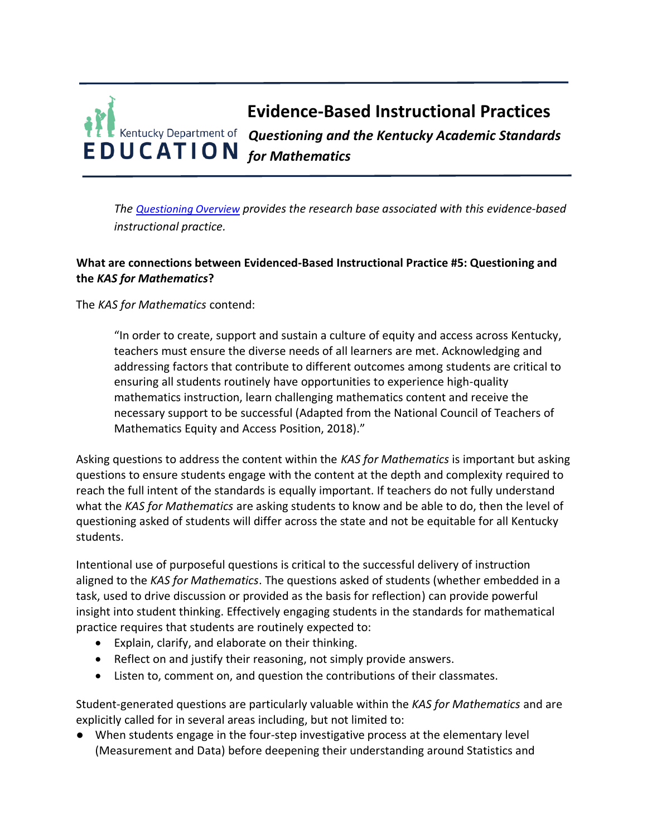## **Evidence-Based Instructional Practices** *Questioning and the Kentucky Academic Standards for Mathematics*

*The [Questioning Overview](https://education.ky.gov/curriculum/standards/kyacadstand/Documents/EBIP_5_Questioning.pdf) provides the research base associated with this evidence-based instructional practice.*

## **What are connections between Evidenced-Based Instructional Practice #5: Questioning and the** *KAS for Mathematics***?**

The *KAS for Mathematics* contend:

"In order to create, support and sustain a culture of equity and access across Kentucky, teachers must ensure the diverse needs of all learners are met. Acknowledging and addressing factors that contribute to different outcomes among students are critical to ensuring all students routinely have opportunities to experience high-quality mathematics instruction, learn challenging mathematics content and receive the necessary support to be successful (Adapted from the National Council of Teachers of Mathematics Equity and Access Position, 2018)."

Asking questions to address the content within the *KAS for Mathematics* is important but asking questions to ensure students engage with the content at the depth and complexity required to reach the full intent of the standards is equally important. If teachers do not fully understand what the *KAS for Mathematics* are asking students to know and be able to do, then the level of questioning asked of students will differ across the state and not be equitable for all Kentucky students.

Intentional use of purposeful questions is critical to the successful delivery of instruction aligned to the *KAS for Mathematics*. The questions asked of students (whether embedded in a task, used to drive discussion or provided as the basis for reflection) can provide powerful insight into student thinking. Effectively engaging students in the standards for mathematical practice requires that students are routinely expected to:

- Explain, clarify, and elaborate on their thinking.
- Reflect on and justify their reasoning, not simply provide answers.
- Listen to, comment on, and question the contributions of their classmates.

Student-generated questions are particularly valuable within the *KAS for Mathematics* and are explicitly called for in several areas including, but not limited to:

● When students engage in the four-step investigative process at the elementary level (Measurement and Data) before deepening their understanding around Statistics and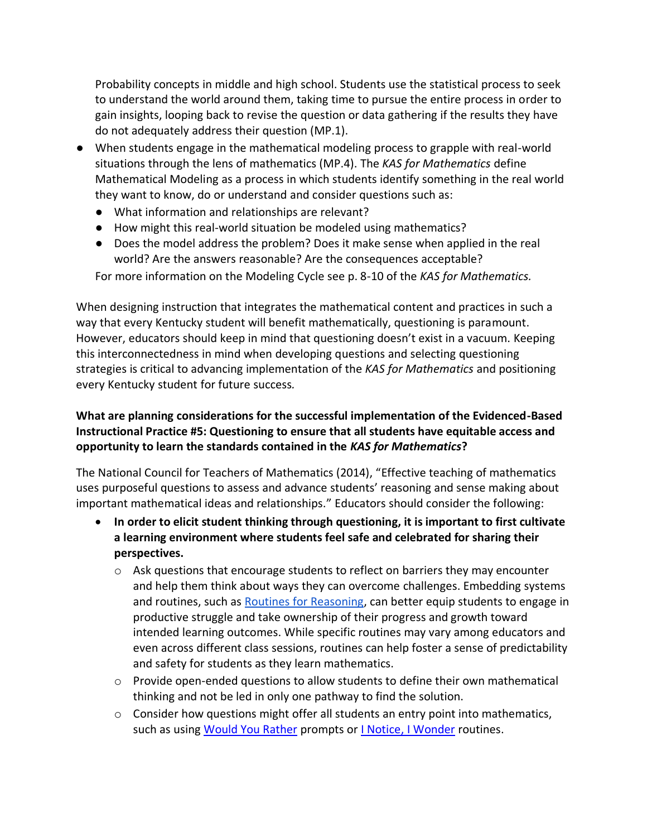Probability concepts in middle and high school. Students use the statistical process to seek to understand the world around them, taking time to pursue the entire process in order to gain insights, looping back to revise the question or data gathering if the results they have do not adequately address their question (MP.1).

- When students engage in the mathematical modeling process to grapple with real-world situations through the lens of mathematics (MP.4). The *KAS for Mathematics* define Mathematical Modeling as a process in which students identify something in the real world they want to know, do or understand and consider questions such as:
	- What information and relationships are relevant?
	- How might this real-world situation be modeled using mathematics?
	- Does the model address the problem? Does it make sense when applied in the real world? Are the answers reasonable? Are the consequences acceptable?

For more information on the Modeling Cycle see p. 8-10 of the *KAS for Mathematics.*

When designing instruction that integrates the mathematical content and practices in such a way that every Kentucky student will benefit mathematically, questioning is paramount. However, educators should keep in mind that questioning doesn't exist in a vacuum. Keeping this interconnectedness in mind when developing questions and selecting questioning strategies is critical to advancing implementation of the *KAS for Mathematics* and positioning every Kentucky student for future success*.*

## **What are planning considerations for the successful implementation of the Evidenced-Based Instructional Practice #5: Questioning to ensure that all students have equitable access and opportunity to learn the standards contained in the** *KAS for Mathematics***?**

The National Council for Teachers of Mathematics (2014), "Effective teaching of mathematics uses purposeful questions to assess and advance students' reasoning and sense making about important mathematical ideas and relationships." Educators should consider the following:

- **In order to elicit student thinking through questioning, it is important to first cultivate a learning environment where students feel safe and celebrated for sharing their perspectives.** 
	- $\circ$  Ask questions that encourage students to reflect on barriers they may encounter and help them think about ways they can overcome challenges. Embedding systems and routines, such as [Routines for Reasoning,](http://www.fosteringmathpractices.com/routinesforreasoning/) can better equip students to engage in productive struggle and take ownership of their progress and growth toward intended learning outcomes. While specific routines may vary among educators and even across different class sessions, routines can help foster a sense of predictability and safety for students as they learn mathematics.
	- $\circ$  Provide open-ended questions to allow students to define their own mathematical thinking and not be led in only one pathway to find the solution.
	- o Consider how questions might offer all students an entry point into mathematics, such as using [Would You Rather](https://www.wouldyourathermath.com/) prompts or [I Notice, I Wonder](https://www.nctm.org/Classroom-Resources/Problems-of-the-Week/I-Notice-I-Wonder/) routines.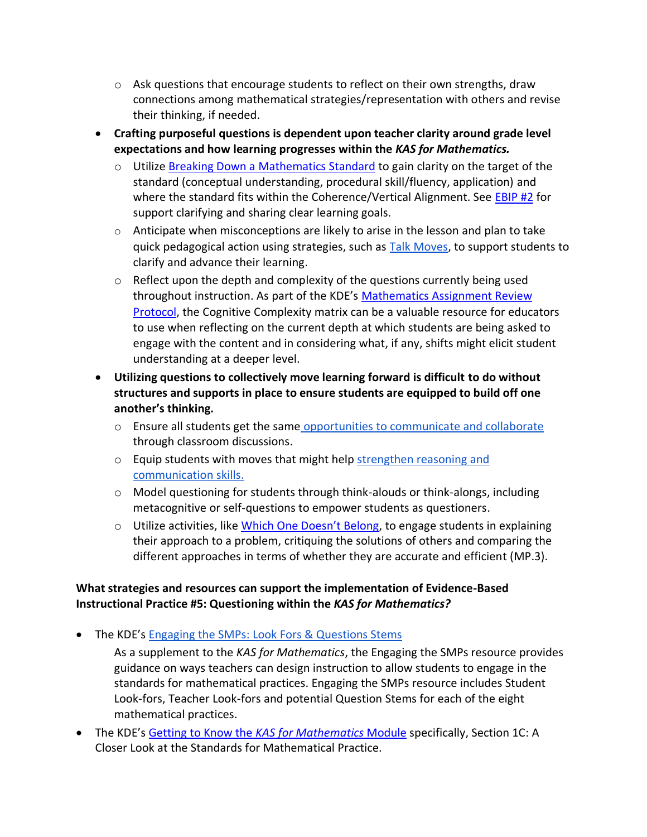- $\circ$  Ask questions that encourage students to reflect on their own strengths, draw connections among mathematical strategies/representation with others and revise their thinking, if needed.
- **Crafting purposeful questions is dependent upon teacher clarity around grade level expectations and how learning progresses within the** *KAS for Mathematics.* 
	- $\circ$  Utilize [Breaking Down a Mathematics](https://kystandards.org/standards-resources/mathematics-resources/breaking-down-a-mathematics-standard/) Standard to gain clarity on the target of the standard (conceptual understanding, procedural skill/fluency, application) and where the standard fits within the Coherence/Vertical Alignment. See **EBIP #2** for support clarifying and sharing clear learning goals.
	- $\circ$  Anticipate when misconceptions are likely to arise in the lesson and plan to take quick pedagogical action using strategies, such as [Talk Moves,](https://irp-cdn.multiscreensite.com/7a45b809/files/uploaded/talk_moves_map_oconnor_2017.pdf) to support students to clarify and advance their learning.
	- $\circ$  Reflect upon the depth and complexity of the questions currently being used throughout instruction. As part of the KDE's [Mathematics Assignment Review](https://education.ky.gov/curriculum/standards/kyacadstand/Documents/Mathematics_Assignment_Review_Protocol.docx)  [Protocol,](https://education.ky.gov/curriculum/standards/kyacadstand/Documents/Mathematics_Assignment_Review_Protocol.docx) the Cognitive Complexity matrix can be a valuable resource for educators to use when reflecting on the current depth at which students are being asked to engage with the content and in considering what, if any, shifts might elicit student understanding at a deeper level.
- **Utilizing questions to collectively move learning forward is difficult to do without structures and supports in place to ensure students are equipped to build off one another's thinking.**
	- o Ensure all students get the same [opportunities to communicate and collaborate](http://stemteachingtools.org/brief/35) through classroom discussions.
	- o Equip students with moves that might help strengthen reasoning and [communication skills.](http://stem4els.wceruw.org/resources/Student-and-Teacher-moves.pdf)
	- o Model questioning for students through think-alouds or think-alongs, including metacognitive or self-questions to empower students as questioners.
	- $\circ$  Utilize activities, like [Which One Doesn't Belong](https://wodb.ca/index.html), to engage students in explaining their approach to a problem, critiquing the solutions of others and comparing the different approaches in terms of whether they are accurate and efficient (MP.3).

## **What strategies and resources can support the implementation of Evidence-Based Instructional Practice #5: Questioning within the** *KAS for Mathematics?*

- The KDE's [Engaging the SMPs: Look Fors & Questions Stems](https://education.ky.gov/curriculum/standards/kyacadstand/Documents/SMP_Look_Fors_and_Question_Stems.pdf)
	- As a supplement to the *KAS for Mathematics*, the Engaging the SMPs resource provides guidance on ways teachers can design instruction to allow students to engage in the standards for mathematical practices. Engaging the SMPs resource includes Student Look-fors, Teacher Look-fors and potential Question Stems for each of the eight mathematical practices.
- The KDE's Getting to Know the *[KAS for Mathematics](https://kystandards.org/standards-resources/mathematics-resources/math-pl-modules/building-a-culture-of-math-learning-series/)* Module specifically, Section 1C: A Closer Look at the Standards for Mathematical Practice.